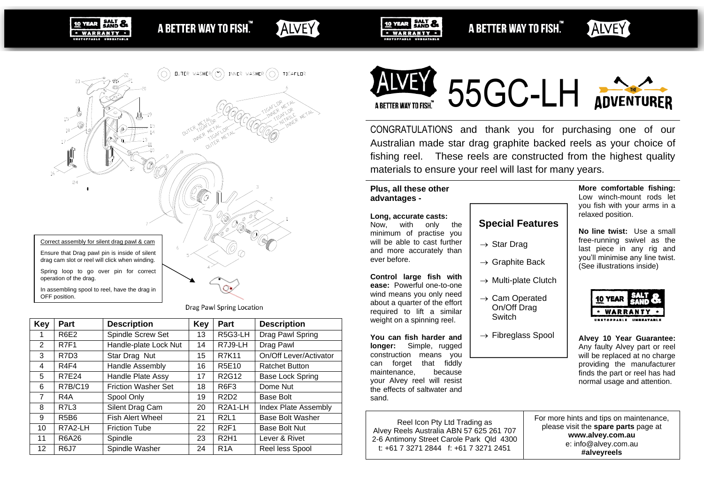A BETTER WAY TO FISH.

ALVEY



ALVEY



In assembling spool to reel, have the drag in OFF position.

10 YEAR SALT &

· WARRANTY · UNSTORDABLE UNBEATA

Drag Pawl Spring Location

| <b>Key</b>     | Part                          | <b>Description</b>         | <b>Key</b> | Part                              | <b>Description</b>     |  |
|----------------|-------------------------------|----------------------------|------------|-----------------------------------|------------------------|--|
| 1              | <b>R6E2</b>                   | Spindle Screw Set          | 13         | R5G3-LH                           | Drag Pawl Spring       |  |
| 2              | <b>R7F1</b>                   | Handle-plate Lock Nut      | 14         | R7J9-LH                           | Drag Pawl              |  |
| 3              | R7D3                          | Star Drag Nut              | 15         | <b>R7K11</b>                      | On/Off Lever/Activator |  |
| 4              | R <sub>4F4</sub>              | Handle Assembly            | 16         | R5E10                             | <b>Ratchet Button</b>  |  |
| 5              | <b>R7E24</b>                  | Handle Plate Assy          | 17         | R <sub>2</sub> G <sub>12</sub>    | Base Lock Spring       |  |
| 6              | <b>R7B/C19</b>                | <b>Friction Washer Set</b> | 18         | R <sub>6</sub> F <sub>3</sub>     | Dome Nut               |  |
| $\overline{7}$ | R <sub>4</sub> A              | Spool Only                 | 19         | R2D2                              | <b>Base Bolt</b>       |  |
| 8              | R7L3                          | Silent Drag Cam            | 20         | R <sub>2</sub> A <sub>1</sub> -LH | Index Plate Assembly   |  |
| 9              | R <sub>5</sub> B <sub>6</sub> | <b>Fish Alert Wheel</b>    | 21         | <b>R2L1</b>                       | Base Bolt Washer       |  |
| 10             | R7A2-LH                       | <b>Friction Tube</b>       | 22         | <b>R2F1</b>                       | <b>Base Bolt Nut</b>   |  |
| 11             | R6A26                         | Spindle                    | 23         | <b>R2H1</b>                       | Lever & Rivet          |  |
| 12             | <b>R6J7</b>                   | Spindle Washer             | 24         | R <sub>1</sub> A                  | Reel less Spool        |  |



10 YEAR SALT &

· WARRANTY ·

UNSTOPPABLE UNBEATAL





CONGRATULATIONS and thank you for purchasing one of our Australian made star drag graphite backed reels as your choice of fishing reel. These reels are constructed from the highest quality materials to ensure your reel will last for many years.

#### **Plus, all these other advantages -**

#### **Long, accurate casts:**

Now, with only the minimum of practise you will be able to cast further and more accurately than ever before.

**Control large fish with ease:** Powerful one-to-one wind means you only need about a quarter of the effort required to lift a similar weight on a spinning reel.

**You can fish harder and longer:** Simple, rugged construction means you can forget that fiddly maintenance, because your Alvey reel will resist the effects of saltwater and sand.

Reel Icon Pty Ltd Trading as Alvey Reels Australia ABN 57 625 261 707 2-6 Antimony Street Carole Park Qld 4300 t: +61 7 3271 2844 f: +61 7 3271 2451

# **Special Features**

- $\rightarrow$  Star Drag
- $\rightarrow$  Graphite Back
- $\rightarrow$  Multi-plate Clutch
- $\rightarrow$  Cam Operated On/Off Drag **Switch**
- $\rightarrow$  Fibreglass Spool

**More comfortable fishing:** Low winch-mount rods let you fish with your arms in a relaxed position.

**No line twist:** Use a small free-running swivel as the last piece in any rig and you'll minimise any line twist. (See illustrations inside)

| <b>10 YEAR</b> |  |
|----------------|--|
| WARRANTY       |  |
|                |  |

**Alvey 10 Year Guarantee:** Any faulty Alvey part or reel will be replaced at no charge providing the manufacturer finds the part or reel has had normal usage and attention.

For more hints and tips on maintenance, please visit the **spare parts** page at **www.alvey.com.au** e: info@alvey.com.au **#alveyreels**